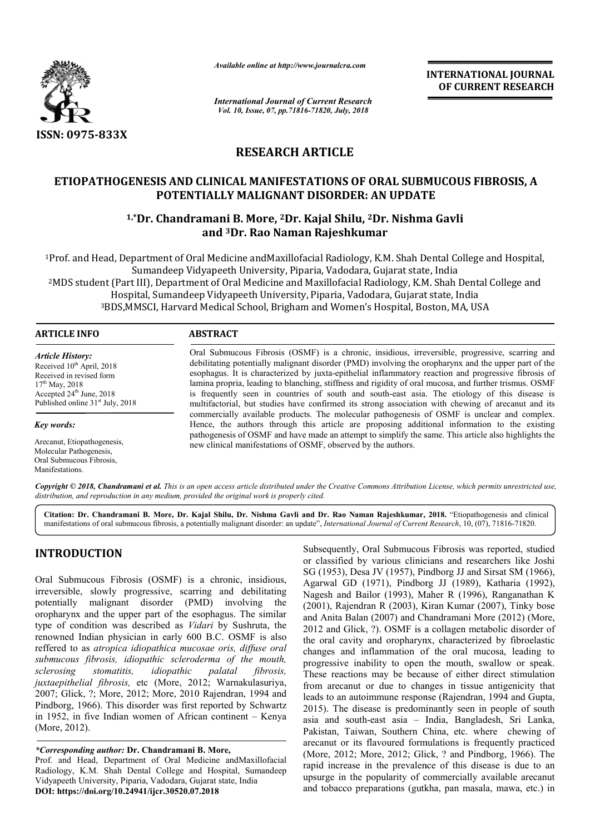

*Available online at http://www.journalcra.com*

*International Journal of Current Research Vol. 10, Issue, 07, pp.71816-71820, July, 2018*

**INTERNATIONAL JOURNAL OF CURRENT RESEARCH**

# **RESEARCH ARTICLE**

# **ETIOPATHOGENESIS AND CLINICAL MANIFESTATIONS OF ORAL SUBMUCOUS FIBROSIS, A POTENTIALLY MALIGNANT DISORDER: AN UPDATE CLINICAL MANIFESTATIONS OF ORA<br>TIALLY MALIGNANT DISORDER: AN |<br>amani B. More, <sup>2</sup>Dr. Kajal Shilu, <sup>2</sup>Dr.**

# **1,\*Dr. Chandramani B. More, Dr. 2Dr. Kajal Shilu, 2Dr. Nishma Gavli and 3Dr. Rao Naman Rajeshkumar**

1Prof. and Head, Department of Oral Medicine andMaxillofacial Radiology, K.M. Shah Dental College and Hospital, Sumandeep Vidyapeeth University, Piparia, Vadodara, Gujarat state, India Sumandeep Vidyapeeth University, Piparia, Vadodara, Gujarat state, India<br>MDS student (Part III), Department of Oral Medicine and Maxillofacial Radiology, K.M. Shah Dental College and <sup>2</sup> Hospital, Sumandeep Vidyapeeth University, Piparia, Vadodara, Gujarat state, India <sup>3</sup>BDS,MMSCI, Harvard Medical School, Brigham and Women's Hospital, Boston, MA, USA

#### **ARTICLE INFO ABSTRACT**

*Article History:* Received 10<sup>th</sup> April, 2018 Received in revised form 17<sup>th</sup> May, 2018 Accepted  $24<sup>th</sup>$  June, 2018 Published online 31<sup>st</sup> July, 2018

*Key words:*

Arecanut, Etiopathogenesis, Molecular Pathogenesis, Oral Submucous Fibrosis, Manifestations.

Oral Submucous Fibrosis (OSMF) is a chronic, insidious, irreversible, progressive, scarring and debilitating potentially malignant disorder (PMD) involving the oropharynx and the upper part of the esophagus. It is characterized by juxta-epithelial inflammatory reaction and progressive fibrosis of lamina propria, leading to blanching, stiffness and rigidity of oral mucosa, and further trismus. OSMF is frequently seen in countries of south and south-east asia. The etiology of this disease is multifactorial, but studies have confirmed its strong association with chewing of arecanut and its commercially available products. The molecular pathogenesis of OSMF is unclear and complex. Hence, the authors through this article are proposing additional information to the existing Hence, the authors through this article are proposing additional information to the existing pathogenesis of OSMF and have made an attempt to simplify the same. This article also highlights the new clinical manifestations of OSMF, observed by the authors. Oral Submucous Fibrosis (OSMF) is a chronic, insidious, irreversible, progressive, scarring and debilitating potentially malignant disorder (PMD) involving the oropharynx and the upper part of the esophagus. It is characte

Copyright © 2018, Chandramani et al. This is an open access article distributed under the Creative Commons Attribution License, which permits unrestricted use, *distribution, and reproduction in any medium, provided the original work is properly cited.*

**Citation: Dr. Chandramani B. More, Dr. Kajal Shilu, Dr. Nishma Gavli and Dr. Rao Naman Rajeshkumar, 2018.** "Etiopathogenesis and clinical manifestations of oral submucous fibrosis, a potentially malignant disorder: an update", *International Journal of Current Research*, 10, (07), 71816-71820.

## **INTRODUCTION**

Oral Submucous Fibrosis (OSMF) is a chronic, insidious, irreversible, slowly progressive, scarring and debilitating potentially malignant disorder (PMD) involving the oropharynx and the upper part of the esophagus. The similar type of condition was described as *Vidari* by Sushruta, the renowned Indian physician in early 600 B.C. OSMF is also reffered to as *atropica idiopathica mucosae oris, diffuse oral submucous fibrosis, idiopathic scleroderma of the mouth, sclerosing stomatitis, idiopathic palatal* juxtaepithelial fibrosis, etc (More, 2012; Warnakulasuriya, 2007; Glick, ?; More, 2012; More, 2010 Rajendran, 1994 and Pindborg, 1966). This disorder was first reported by Schwartz in 1952, in five Indian women of African continent – Kenya (More, 2012). *fibrosis,* 

*\*Corresponding author:* **Dr. Chandramani B. More More,**

Prof. and Head, Department of Oral Medicine andMaxillofacial Radiology, K.M. Shah Dental College and Hospital, Sumandeep Vidyapeeth University, Piparia, Vadodara, Gujarat state, India **DOI: https://doi.org/10.24941/ijcr.30520.07.2018**

Subsequently, Oral Submucous Fibrosis was reported, studied<br>
or classified by various clinicians and researchers like Josh<br>
arring and debilitating<br>
SG (1953), Desa JV (1957), Findborg JJ and Sirsat SM (1966),<br>
arring and or classified by various clinicians and researchers like Joshi or classified by various clinicians and researchers like Joshi SG (1953), Desa JV (1957), Pindborg JJ and Sirsat SM (1966), Agarwal GD (1971), Pindborg JJ (1989), Katharia (1992), Nagesh and Bailor (1993), Maher R R (1996), Ranganathan K (2001), Rajendran R (2003), Kiran Kumar (2007), Tinky bose (2001), Rajendran R (2003), Kiran Kumar (2007), Tinky bose and Anita Balan (2007) and Chandramani More (2012) (More, 2012 and Glick, ?). OSMF is a collagen metabolic disorder of the oral cavity and oropharynx, characterized by fibroelastic changes and inflammation of the oral mucosa, leading to progressive inability to open the mouth, swallow or speak. These reactions may be because of either direct stimulation from arecanut or due to changes in tissue antigenicity that leads to an autoimmune response (Rajendran, 1994 and Gupta, 2015). The disease is predominantly seen in people of south asia and south-east asia – India, Bangladesh, Sri Lanka, Pakistan, Taiwan, Southern China, etc. where chewing of arecanut or its flavoured formulations is frequently practiced arecanut or its flavoured formulations is frequently practiced (More, 2012; More, 2012; Glick, ? and Pindborg, 1966). The rapid increase in the prevalence of this disease is due to an rapid increase in the prevalence of this disease is due to an upsurge in the popularity of commercially available arecanut and tobacco preparations (gutkha, pan masala, mawa, etc.) in the oral cavity and oropharynx, characterized by fibroelastic<br>changes and inflammation of the oral mucosa, leading to<br>progressive inability to open the mouth, swallow or speak.<br>These reactions may be because of either dire is predominantly seen in people of south<br>
t asia – India, Bangladesh, Sri Lanka,<br>
Southern China, etc. where chewing of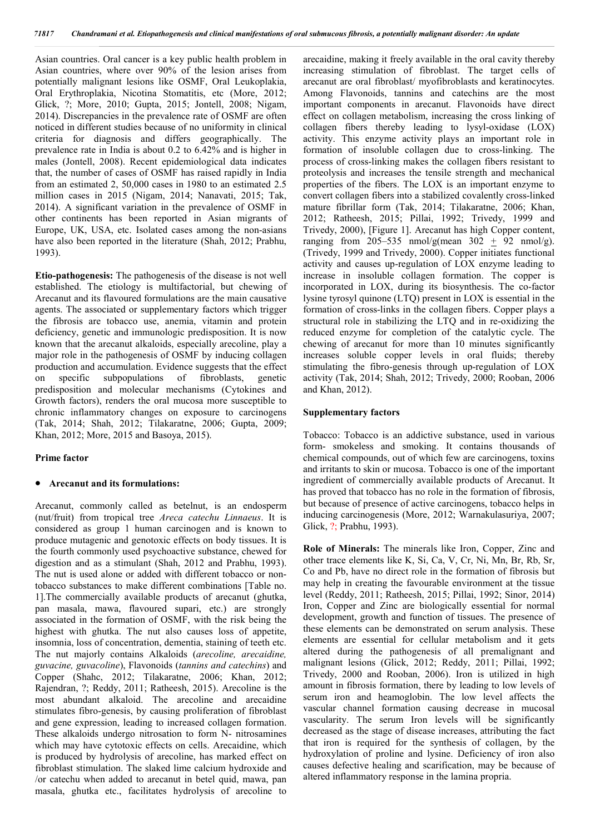Asian countries. Oral cancer is a key public health problem in Asian countries, where over 90% of the lesion arises from potentially malignant lesions like OSMF, Oral Leukoplakia, Oral Erythroplakia, Nicotina Stomatitis, etc (More, 2012; Glick, ?; More, 2010; Gupta, 2015; Jontell, 2008; Nigam, 2014). Discrepancies in the prevalence rate of OSMF are often noticed in different studies because of no uniformity in clinical criteria for diagnosis and differs geographically. The prevalence rate in India is about 0.2 to 6.42% and is higher in males (Jontell, 2008). Recent epidemiological data indicates that, the number of cases of OSMF has raised rapidly in India from an estimated 2, 50,000 cases in 1980 to an estimated 2.5 million cases in 2015 (Nigam, 2014; Nanavati, 2015; Tak, 2014). A significant variation in the prevalence of OSMF in other continents has been reported in Asian migrants of Europe, UK, USA, etc. Isolated cases among the non-asians have also been reported in the literature (Shah, 2012; Prabhu, 1993).

**Etio-pathogenesis:** The pathogenesis of the disease is not well established. The etiology is multifactorial, but chewing of Arecanut and its flavoured formulations are the main causative agents. The associated or supplementary factors which trigger the fibrosis are tobacco use, anemia, vitamin and protein deficiency, genetic and immunologic predisposition. It is now known that the arecanut alkaloids, especially arecoline, play a major role in the pathogenesis of OSMF by inducing collagen production and accumulation. Evidence suggests that the effect on specific subpopulations of fibroblasts, genetic predisposition and molecular mechanisms (Cytokines and Growth factors), renders the oral mucosa more susceptible to chronic inflammatory changes on exposure to carcinogens (Tak, 2014; Shah, 2012; Tilakaratne, 2006; Gupta, 2009; Khan, 2012; More, 2015 and Basoya, 2015).

#### **Prime factor**

#### **Arecanut and its formulations:**

Arecanut, commonly called as betelnut, is an endosperm (nut/fruit) from tropical tree *Areca catechu Linnaeus*. It is considered as group 1 human carcinogen and is known to produce mutagenic and genotoxic effects on body tissues. It is the fourth commonly used psychoactive substance, chewed for digestion and as a stimulant (Shah, 2012 and Prabhu, 1993). The nut is used alone or added with different tobacco or nontobacco substances to make different combinations [Table no. 1].The commercially available products of arecanut (ghutka, pan masala, mawa, flavoured supari, etc.) are strongly associated in the formation of OSMF, with the risk being the highest with ghutka. The nut also causes loss of appetite, insomnia, loss of concentration, dementia, staining of teeth etc. The nut majorly contains Alkaloids (*arecoline, arecaidine, guvacine, guvacoline*), Flavonoids (*tannins and catechins*) and Copper (Shahc, 2012; Tilakaratne, 2006; Khan, 2012; Rajendran, ?; Reddy, 2011; Ratheesh, 2015). Arecoline is the most abundant alkaloid. The arecoline and arecaidine stimulates fibro-genesis, by causing proliferation of fibroblast and gene expression, leading to increased collagen formation. These alkaloids undergo nitrosation to form N- nitrosamines which may have cytotoxic effects on cells. Arecaidine, which is produced by hydrolysis of arecoline, has marked effect on fibroblast stimulation. The slaked lime calcium hydroxide and /or catechu when added to arecanut in betel quid, mawa, pan masala, ghutka etc., facilitates hydrolysis of arecoline to

arecaidine, making it freely available in the oral cavity thereby increasing stimulation of fibroblast. The target cells of arecanut are oral fibroblast/ myofibroblasts and keratinocytes. Among Flavonoids, tannins and catechins are the most important components in arecanut. Flavonoids have direct effect on collagen metabolism, increasing the cross linking of collagen fibers thereby leading to lysyl-oxidase (LOX) activity. This enzyme activity plays an important role in formation of insoluble collagen due to cross-linking. The process of cross-linking makes the collagen fibers resistant to proteolysis and increases the tensile strength and mechanical properties of the fibers. The LOX is an important enzyme to convert collagen fibers into a stabilized covalently cross-linked mature fibrillar form (Tak, 2014; Tilakaratne, 2006; Khan, 2012; Ratheesh, 2015; Pillai, 1992; Trivedy, 1999 and Trivedy, 2000), [Figure 1]. Arecanut has high Copper content, ranging from  $205-535$  nmol/g(mean  $302 + 92$  nmol/g). (Trivedy, 1999 and Trivedy, 2000). Copper initiates functional activity and causes up-regulation of LOX enzyme leading to increase in insoluble collagen formation. The copper is incorporated in LOX, during its biosynthesis. The co-factor lysine tyrosyl quinone (LTQ) present in LOX is essential in the formation of cross-links in the collagen fibers. Copper plays a structural role in stabilizing the LTQ and in re-oxidizing the reduced enzyme for completion of the catalytic cycle. The chewing of arecanut for more than 10 minutes significantly increases soluble copper levels in oral fluids; thereby stimulating the fibro-genesis through up-regulation of LOX activity (Tak, 2014; Shah, 2012; Trivedy, 2000; Rooban, 2006 and Khan, 2012).

#### **Supplementary factors**

Tobacco: Tobacco is an addictive substance, used in various form- smokeless and smoking. It contains thousands of chemical compounds, out of which few are carcinogens, toxins and irritants to skin or mucosa. Tobacco is one of the important ingredient of commercially available products of Arecanut. It has proved that tobacco has no role in the formation of fibrosis, but because of presence of active carcinogens, tobacco helps in inducing carcinogenesis (More, 2012; Warnakulasuriya, 2007; Glick, ?; Prabhu, 1993).

**Role of Minerals:** The minerals like Iron, Copper, Zinc and other trace elements like K, Si, Ca, V, Cr, Ni, Mn, Br, Rb, Sr, Co and Pb, have no direct role in the formation of fibrosis but may help in creating the favourable environment at the tissue level (Reddy, 2011; Ratheesh, 2015; Pillai, 1992; Sinor, 2014) Iron, Copper and Zinc are biologically essential for normal development, growth and function of tissues. The presence of these elements can be demonstrated on serum analysis. These elements are essential for cellular metabolism and it gets altered during the pathogenesis of all premalignant and malignant lesions (Glick, 2012; Reddy, 2011; Pillai, 1992; Trivedy, 2000 and Rooban, 2006). Iron is utilized in high amount in fibrosis formation, there by leading to low levels of serum iron and heamoglobin. The low level affects the vascular channel formation causing decrease in mucosal vascularity. The serum Iron levels will be significantly decreased as the stage of disease increases, attributing the fact that iron is required for the synthesis of collagen, by the hydroxylation of proline and lysine. Deficiency of iron also causes defective healing and scarification, may be because of altered inflammatory response in the lamina propria.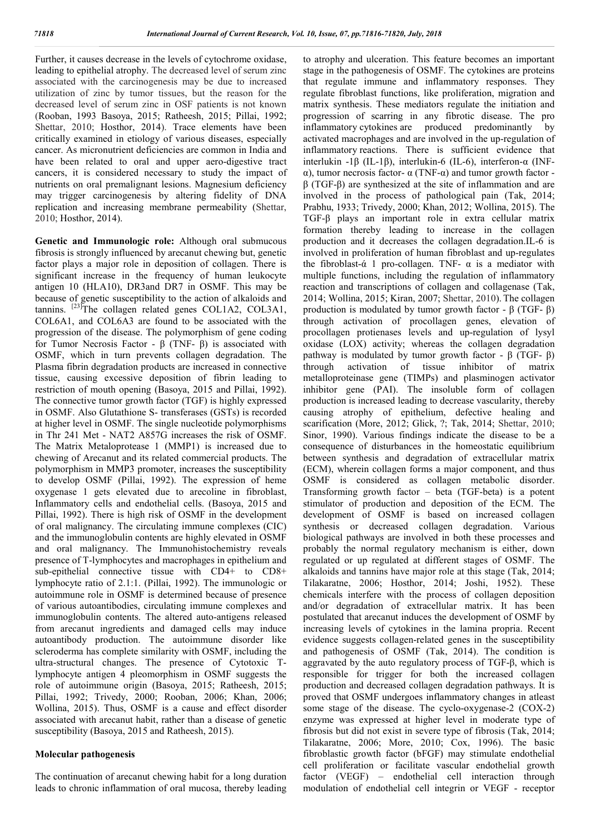Further, it causes decrease in the levels of cytochrome oxidase, leading to epithelial atrophy. The decreased level of serum zinc associated with the carcinogenesis may be due to increased utilization of zinc by tumor tissues, but the reason for the decreased level of serum zinc in OSF patients is not known (Rooban, 1993 Basoya, 2015; Ratheesh, 2015; Pillai, 1992; Shettar, 2010; Hosthor, 2014). Trace elements have been critically examined in etiology of various diseases, especially cancer. As micronutrient deficiencies are common in India and have been related to oral and upper aero-digestive tract cancers, it is considered necessary to study the impact of nutrients on oral premalignant lesions. Magnesium deficiency may trigger carcinogenesis by altering fidelity of DNA replication and increasing membrane permeability (Shettar, 2010; Hosthor, 2014).

**Genetic and Immunologic role:** Although oral submucous fibrosis is strongly influenced by arecanut chewing but, genetic factor plays a major role in deposition of collagen. There is significant increase in the frequency of human leukocyte antigen 10 (HLA10), DR3and DR7 in OSMF. This may be because of genetic susceptibility to the action of alkaloids and tannins.  $^{[23]}$ The collagen related genes COL1A2, COL3A1, COL6A1, and COL6A3 are found to be associated with the progression of the disease. The polymorphism of gene coding for Tumor Necrosis Factor - β (TNF- β) is associated with OSMF, which in turn prevents collagen degradation. The Plasma fibrin degradation products are increased in connective tissue, causing excessive deposition of fibrin leading to restriction of mouth opening (Basoya, 2015 and Pillai, 1992). The connective tumor growth factor (TGF) is highly expressed in OSMF. Also Glutathione S- transferases (GSTs) is recorded at higher level in OSMF. The single nucleotide polymorphisms in Thr 241 Met - NAT2 A857G increases the risk of OSMF. The Matrix Metaloprotease 1 (MMP1) is increased due to chewing of Arecanut and its related commercial products. The polymorphism in MMP3 promoter, increases the susceptibility to develop OSMF (Pillai, 1992). The expression of heme oxygenase 1 gets elevated due to arecoline in fibroblast, Inflammatory cells and endothelial cells. (Basoya, 2015 and Pillai, 1992). There is high risk of OSMF in the development of oral malignancy. The circulating immune complexes (CIC) and the immunoglobulin contents are highly elevated in OSMF and oral malignancy. The Immunohistochemistry reveals presence of T-lymphocytes and macrophages in epithelium and sub-epithelial connective tissue with CD4+ to CD8+ lymphocyte ratio of 2.1:1. (Pillai, 1992). The immunologic or autoimmune role in OSMF is determined because of presence of various autoantibodies, circulating immune complexes and immunoglobulin contents. The altered auto-antigens released from arecanut ingredients and damaged cells may induce autoantibody production. The autoimmune disorder like scleroderma has complete similarity with OSMF, including the ultra-structural changes. The presence of Cytotoxic Tlymphocyte antigen 4 pleomorphism in OSMF suggests the role of autoimmune origin (Basoya, 2015; Ratheesh, 2015; Pillai, 1992; Trivedy, 2000; Rooban, 2006; Khan, 2006; Wollina, 2015). Thus, OSMF is a cause and effect disorder associated with arecanut habit, rather than a disease of genetic susceptibility (Basoya, 2015 and Ratheesh, 2015).

### **Molecular pathogenesis**

The continuation of arecanut chewing habit for a long duration leads to chronic inflammation of oral mucosa, thereby leading to atrophy and ulceration. This feature becomes an important stage in the pathogenesis of OSMF. The cytokines are proteins that regulate immune and inflammatory responses. They regulate fibroblast functions, like proliferation, migration and matrix synthesis. These mediators regulate the initiation and progression of scarring in any fibrotic disease. The pro inflammatory cytokines are produced predominantly by activated macrophages and are involved in the up-regulation of inflammatory reactions. There is sufficient evidence that interlukin -1β (IL-1β), interlukin-6 (IL-6), interferon-α (INFα), tumor necrosis factor- α (TNF-α) and tumor growth factor β (TGF-β) are synthesized at the site of inflammation and are involved in the process of pathological pain (Tak, 2014; Prabhu, 1933; Trivedy, 2000; Khan, 2012; Wollina, 2015). The TGF-β plays an important role in extra cellular matrix formation thereby leading to increase in the collagen production and it decreases the collagen degradation.IL-6 is involved in proliferation of human fibroblast and up-regulates the fibroblast-ά 1 pro-collagen. TNF-  $\alpha$  is a mediator with multiple functions, including the regulation of inflammatory reaction and transcriptions of collagen and collagenase (Tak, 2014; Wollina, 2015; Kiran, 2007; Shettar, 2010). The collagen production is modulated by tumor growth factor - β (TGF- β) through activation of procollagen genes, elevation of procollagen protienases levels and up-regulation of lysyl oxidase (LOX) activity; whereas the collagen degradation pathway is modulated by tumor growth factor - β (TGF- β) through activation of tissue inhibitor of matrix metalloproteinase gene (TIMPs) and plasminogen activator inhibitor gene (PAI). The insoluble form of collagen production is increased leading to decrease vascularity, thereby causing atrophy of epithelium, defective healing and scarification (More, 2012; Glick, ?; Tak, 2014; Shettar, 2010; Sinor, 1990). Various findings indicate the disease to be a consequence of disturbances in the homeostatic equilibrium between synthesis and degradation of extracellular matrix (ECM), wherein collagen forms a major component, and thus OSMF is considered as collagen metabolic disorder. Transforming growth factor – beta (TGF-beta) is a potent stimulator of production and deposition of the ECM. The development of OSMF is based on increased collagen synthesis or decreased collagen degradation. Various biological pathways are involved in both these processes and probably the normal regulatory mechanism is either, down regulated or up regulated at different stages of OSMF. The alkaloids and tannins have major role at this stage (Tak, 2014; Tilakaratne, 2006; Hosthor, 2014; Joshi, 1952). These chemicals interfere with the process of collagen deposition and/or degradation of extracellular matrix. It has been postulated that arecanut induces the development of OSMF by increasing levels of cytokines in the lamina propria. Recent evidence suggests collagen-related genes in the susceptibility and pathogenesis of OSMF (Tak, 2014). The condition is aggravated by the auto regulatory process of TGF-β, which is responsible for trigger for both the increased collagen production and decreased collagen degradation pathways. It is proved that OSMF undergoes inflammatory changes in atleast some stage of the disease. The cyclo-oxygenase-2 (COX-2) enzyme was expressed at higher level in moderate type of fibrosis but did not exist in severe type of fibrosis (Tak, 2014; Tilakaratne, 2006; More, 2010; Cox, 1996). The basic fibroblastic growth factor (bFGF) may stimulate endothelial cell proliferation or facilitate vascular endothelial growth factor (VEGF) – endothelial cell interaction through modulation of endothelial cell integrin or VEGF - receptor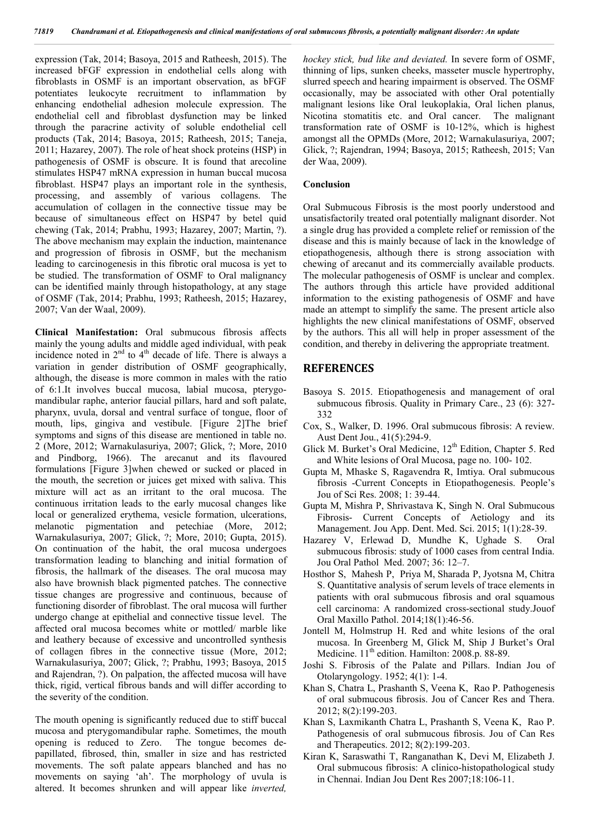expression (Tak, 2014; Basoya, 2015 and Ratheesh, 2015). The increased bFGF expression in endothelial cells along with fibroblasts in OSMF is an important observation, as bFGF potentiates leukocyte recruitment to inflammation by enhancing endothelial adhesion molecule expression. The endothelial cell and fibroblast dysfunction may be linked through the paracrine activity of soluble endothelial cell products (Tak, 2014; Basoya, 2015; Ratheesh, 2015; Taneja, 2011; Hazarey, 2007). The role of heat shock proteins (HSP) in pathogenesis of OSMF is obscure. It is found that arecoline stimulates HSP47 mRNA expression in human buccal mucosa fibroblast. HSP47 plays an important role in the synthesis, processing, and assembly of various collagens. The accumulation of collagen in the connective tissue may be because of simultaneous effect on HSP47 by betel quid chewing (Tak, 2014; Prabhu, 1993; Hazarey, 2007; Martin, ?). The above mechanism may explain the induction, maintenance and progression of fibrosis in OSMF, but the mechanism leading to carcinogenesis in this fibrotic oral mucosa is yet to be studied. The transformation of OSMF to Oral malignancy can be identified mainly through histopathology, at any stage of OSMF (Tak, 2014; Prabhu, 1993; Ratheesh, 2015; Hazarey, 2007; Van der Waal, 2009).

**Clinical Manifestation:** Oral submucous fibrosis affects mainly the young adults and middle aged individual, with peak incidence noted in  $2<sup>nd</sup>$  to  $4<sup>th</sup>$  decade of life. There is always a variation in gender distribution of OSMF geographically, although, the disease is more common in males with the ratio of 6:1.It involves buccal mucosa, labial mucosa, pterygomandibular raphe, anterior faucial pillars, hard and soft palate, pharynx, uvula, dorsal and ventral surface of tongue, floor of mouth, lips, gingiva and vestibule. [Figure 2]The brief symptoms and signs of this disease are mentioned in table no. 2 (More, 2012; Warnakulasuriya, 2007; Glick, ?; More, 2010 and Pindborg, 1966). The arecanut and its flavoured formulations [Figure 3]when chewed or sucked or placed in the mouth, the secretion or juices get mixed with saliva. This mixture will act as an irritant to the oral mucosa. The continuous irritation leads to the early mucosal changes like local or generalized erythema, vesicle formation, ulcerations, melanotic pigmentation and petechiae (More, 2012; Warnakulasuriya, 2007; Glick, ?; More, 2010; Gupta, 2015). On continuation of the habit, the oral mucosa undergoes transformation leading to blanching and initial formation of fibrosis, the hallmark of the diseases. The oral mucosa may also have brownish black pigmented patches. The connective tissue changes are progressive and continuous, because of functioning disorder of fibroblast. The oral mucosa will further undergo change at epithelial and connective tissue level. The affected oral mucosa becomes white or mottled/ marble like and leathery because of excessive and uncontrolled synthesis of collagen fibres in the connective tissue (More, 2012; Warnakulasuriya, 2007; Glick, ?; Prabhu, 1993; Basoya, 2015 and Rajendran, ?). On palpation, the affected mucosa will have thick, rigid, vertical fibrous bands and will differ according to the severity of the condition.

The mouth opening is significantly reduced due to stiff buccal mucosa and pterygomandibular raphe. Sometimes, the mouth opening is reduced to Zero. The tongue becomes depapillated, fibrosed, thin, smaller in size and has restricted movements. The soft palate appears blanched and has no movements on saying 'ah'. The morphology of uvula is altered. It becomes shrunken and will appear like *inverted,* 

*hockey stick, bud like and deviated.* In severe form of OSMF, thinning of lips, sunken cheeks, masseter muscle hypertrophy, slurred speech and hearing impairment is observed. The OSMF occasionally, may be associated with other Oral potentially malignant lesions like Oral leukoplakia, Oral lichen planus, Nicotina stomatitis etc. and Oral cancer. The malignant transformation rate of OSMF is 10-12%, which is highest amongst all the OPMDs (More, 2012; Warnakulasuriya, 2007; Glick, ?; Rajendran, 1994; Basoya, 2015; Ratheesh, 2015; Van der Waa, 2009).

#### **Conclusion**

Oral Submucous Fibrosis is the most poorly understood and unsatisfactorily treated oral potentially malignant disorder. Not a single drug has provided a complete relief or remission of the disease and this is mainly because of lack in the knowledge of etiopathogenesis, although there is strong association with chewing of arecanut and its commercially available products. The molecular pathogenesis of OSMF is unclear and complex. The authors through this article have provided additional information to the existing pathogenesis of OSMF and have made an attempt to simplify the same. The present article also highlights the new clinical manifestations of OSMF, observed by the authors. This all will help in proper assessment of the condition, and thereby in delivering the appropriate treatment.

#### **REFERENCES**

- Basoya S. 2015. Etiopathogenesis and management of oral submucous fibrosis. Quality in Primary Care., 23 (6): 327- 332
- Cox, S., Walker, D. 1996. Oral submucous fibrosis: A review. Aust Dent Jou., 41(5):294-9.
- Glick M. Burket's Oral Medicine, 12<sup>th</sup> Edition, Chapter 5. Red and White lesions of Oral Mucosa, page no. 100- 102.
- Gupta M, Mhaske S, Ragavendra R, Imtiya. Oral submucous fibrosis -Current Concepts in Etiopathogenesis. People's Jou of Sci Res. 2008; 1: 39-44.
- Gupta M, Mishra P, Shrivastava K, Singh N. Oral Submucous Fibrosis- Current Concepts of Aetiology and its Management. Jou App. Dent. Med. Sci. 2015; 1(1):28-39.
- Hazarey V, Erlewad D, Mundhe K, Ughade S. Oral submucous fibrosis: study of 1000 cases from central India. Jou Oral Pathol Med. 2007; 36: 12–7.
- Hosthor S, Mahesh P, Priya M, Sharada P, Jyotsna M, Chitra S. Quantitative analysis of serum levels of trace elements in patients with oral submucous fibrosis and oral squamous cell carcinoma: A randomized cross-sectional study.Jouof Oral Maxillo Pathol. 2014;18(1):46-56.
- Jontell M, Holmstrup H. Red and white lesions of the oral mucosa. In Greenberg M, Glick M, Ship J Burket's Oral Medicine. 11<sup>th</sup> edition. Hamilton: 2008.p. 88-89.
- Joshi S. Fibrosis of the Palate and Pillars. Indian Jou of Otolaryngology. 1952; 4(1): 1-4.
- Khan S, Chatra L, Prashanth S, Veena K, Rao P. Pathogenesis of oral submucous fibrosis. Jou of Cancer Res and Thera. 2012; 8(2):199-203.
- Khan S, Laxmikanth Chatra L, Prashanth S, Veena K, Rao P. Pathogenesis of oral submucous fibrosis. Jou of Can Res and Therapeutics. 2012; 8(2):199-203.
- Kiran K, Saraswathi T, Ranganathan K, Devi M, Elizabeth J. Oral submucous fibrosis: A clinico-histopathological study in Chennai. Indian Jou Dent Res 2007;18:106-11.